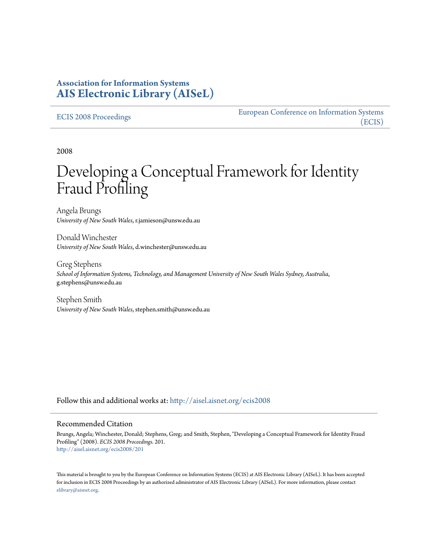## **Association for Information Systems [AIS Electronic Library \(AISeL\)](http://aisel.aisnet.org?utm_source=aisel.aisnet.org%2Fecis2008%2F201&utm_medium=PDF&utm_campaign=PDFCoverPages)**

#### [ECIS 2008 Proceedings](http://aisel.aisnet.org/ecis2008?utm_source=aisel.aisnet.org%2Fecis2008%2F201&utm_medium=PDF&utm_campaign=PDFCoverPages)

[European Conference on Information Systems](http://aisel.aisnet.org/ecis?utm_source=aisel.aisnet.org%2Fecis2008%2F201&utm_medium=PDF&utm_campaign=PDFCoverPages) [\(ECIS\)](http://aisel.aisnet.org/ecis?utm_source=aisel.aisnet.org%2Fecis2008%2F201&utm_medium=PDF&utm_campaign=PDFCoverPages)

2008

# Developing a Conceptual Framework for Identity Fraud Profiling

Angela Brungs *University of New South Wales*, r.jamieson@unsw.edu.au

Donald Winchester *University of New South Wales*, d.winchester@unsw.edu.au

Greg Stephens *School of Information Systems, Technology, and Management University of New South Wales Sydney, Australia*, g.stephens@unsw.edu.au

Stephen Smith *University of New South Wales*, stephen.smith@unsw.edu.au

Follow this and additional works at: [http://aisel.aisnet.org/ecis2008](http://aisel.aisnet.org/ecis2008?utm_source=aisel.aisnet.org%2Fecis2008%2F201&utm_medium=PDF&utm_campaign=PDFCoverPages)

#### Recommended Citation

Brungs, Angela; Winchester, Donald; Stephens, Greg; and Smith, Stephen, "Developing a Conceptual Framework for Identity Fraud Profiling" (2008). *ECIS 2008 Proceedings*. 201. [http://aisel.aisnet.org/ecis2008/201](http://aisel.aisnet.org/ecis2008/201?utm_source=aisel.aisnet.org%2Fecis2008%2F201&utm_medium=PDF&utm_campaign=PDFCoverPages)

This material is brought to you by the European Conference on Information Systems (ECIS) at AIS Electronic Library (AISeL). It has been accepted for inclusion in ECIS 2008 Proceedings by an authorized administrator of AIS Electronic Library (AISeL). For more information, please contact [elibrary@aisnet.org.](mailto:elibrary@aisnet.org%3E)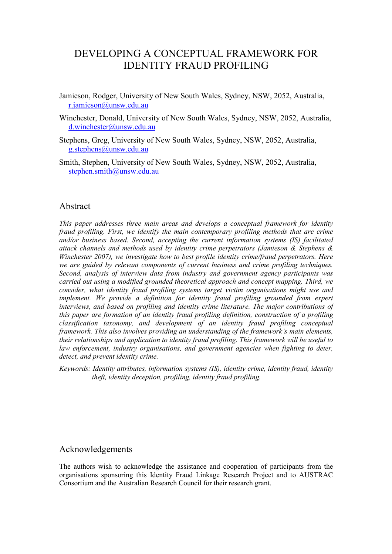## DEVELOPING A CONCEPTUAL FRAMEWORK FOR IDENTITY FRAUD PROFILING

- Jamieson, Rodger, University of New South Wales, Sydney, NSW, 2052, Australia, [r.jamieson@unsw.edu.au](mailto:r.jamieson@unsw.edu.au)
- Winchester, Donald, University of New South Wales, Sydney, NSW, 2052, Australia, [d.winchester@unsw.edu.au](mailto:d.winchester@unsw.edu.au)
- Stephens, Greg, University of New South Wales, Sydney, NSW, 2052, Australia, [g.stephens@unsw.edu.au](mailto:g.stephens@unsw.edu.au)
- Smith, Stephen, University of New South Wales, Sydney, NSW, 2052, Australia, stephen.smith@unsw.edu.au

## Abstract

*This paper addresses three main areas and develops a conceptual framework for identity fraud profiling. First, we identify the main contemporary profiling methods that are crime and/or business based. Second, accepting the current information systems (IS) facilitated attack channels and methods used by identity crime perpetrators (Jamieson & Stephens & Winchester 2007), we investigate how to best profile identity crime/fraud perpetrators. Here we are guided by relevant components of current business and crime profiling techniques. Second, analysis of interview data from industry and government agency participants was carried out using a modified grounded theoretical approach and concept mapping. Third, we consider, what identity fraud profiling systems target victim organisations might use and*  implement. We provide a definition for identity fraud profiling grounded from expert *interviews, and based on profiling and identity crime literature. The major contributions of this paper are formation of an identity fraud profiling definition, construction of a profiling classification taxonomy, and development of an identity fraud profiling conceptual framework. This also involves providing an understanding of the framework's main elements, their relationships and application to identity fraud profiling. This framework will be useful to*  law enforcement, industry organisations, and government agencies when fighting to deter, *detect, and prevent identity crime.* 

*Keywords: Identity attributes, information systems (IS), identity crime, identity fraud, identity theft, identity deception, profiling, identity fraud profiling.* 

#### Acknowledgements

The authors wish to acknowledge the assistance and cooperation of participants from the organisations sponsoring this Identity Fraud Linkage Research Project and to AUSTRAC Consortium and the Australian Research Council for their research grant.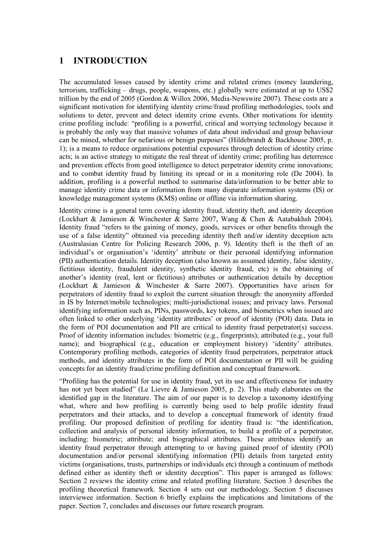## **1 INTRODUCTION**

The accumulated losses caused by identity crime and related crimes (money laundering, terrorism, trafficking – drugs, people, weapons, etc.) globally were estimated at up to US\$2 trillion by the end of 2005 (Gordon & Willox 2006, Media-Newswire 2007). These costs are a significant motivation for identifying identity crime/fraud profiling methodologies, tools and solutions to deter, prevent and detect identity crime events. Other motivations for identity crime profiling include: "profiling is a powerful, critical and worrying technology because it is probably the only way that massive volumes of data about individual and group behaviour can be mined, whether for nefarious or benign purposes" (Hildebrandt & Backhouse 2005, p. 1); is a means to reduce organisations potential exposures through detection of identity crime acts; is an active strategy to mitigate the real threat of identity crime; profiling has deterrence and prevention effects from good intelligence to detect perpetrator identity crime innovations; and to combat identity fraud by limiting its spread or in a monitoring role (De 2004). In addition, profiling is a powerful method to summarise data/information to be better able to manage identity crime data or information from many disparate information systems (IS) or knowledge management systems (KMS) online or offline via information sharing.

Identity crime is a general term covering identity fraud, identity theft, and identity deception (Lockhart & Jamieson & Winchester & Sarre 2007, Wang & Chen & Aatabakhsh 2004). Identity fraud "refers to the gaining of money, goods, services or other benefits through the use of a false identity" obtained via preceding identity theft and/or identity deception acts (Australasian Centre for Policing Research 2006, p. 9). Identity theft is the theft of an individual's or organisation's 'identity' attribute or their personal identifying information (PII) authentication details. Identity deception (also known as assumed identity, false identity, fictitious identity, fraudulent identity, synthetic identity fraud, etc) is the obtaining of another's identity (real, lent or fictitious) attributes or authentication details by deception (Lockhart & Jamieson & Winchester & Sarre 2007). Opportunities have arisen for perpetrators of identity fraud to exploit the current situation through: the anonymity afforded in IS by Internet/mobile technologies; multi-jurisdictional issues; and privacy laws. Personal identifying information such as, PINs, passwords, key tokens, and biometrics when issued are often linked to other underlying 'identity attributes' or proof of identity (POI) data. Data in the form of POI documentation and PII are critical to identity fraud perpetrator(s) success. Proof of identity information includes: biometric (e.g., fingerprints); attributed (e.g., your full name); and biographical (e.g., education or employment history) 'identity' attributes. Contemporary profiling methods, categories of identity fraud perpetrators, perpetrator attack methods, and identity attributes in the form of POI documentation or PII will be guiding concepts for an identity fraud/crime profiling definition and conceptual framework.

"Profiling has the potential for use in identity fraud, yet its use and effectiveness for industry has not yet been studied" (Le Lievre & Jamieson 2005, p. 2). This study elaborates on the identified gap in the literature. The aim of our paper is to develop a taxonomy identifying what, where and how profiling is currently being used to help profile identity fraud perpetrators and their attacks, and to develop a conceptual framework of identity fraud profiling. Our proposed definition of profiling for identity fraud is: "the identification, collection and analysis of personal identity information, to build a profile of a perpetrator, including: biometric; attribute; and biographical attributes. These attributes identify an identity fraud perpetrator through attempting to or having gained proof of identity (POI) documentation and/or personal identifying information (PII) details from targeted entity victims (organisations, trusts, partnerships or individuals etc) through a continuum of methods defined either as identity theft or identity deception". This paper is arranged as follows: Section 2 reviews the identity crime and related profiling literature. Section 3 describes the profiling theoretical framework. Section 4 sets out our methodology. Section 5 discusses interviewee information. Section 6 briefly explains the implications and limitations of the paper. Section 7, concludes and discusses our future research program.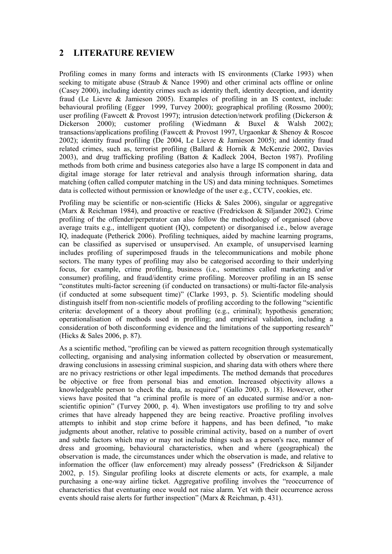## **2 LITERATURE REVIEW**

Profiling comes in many forms and interacts with IS environments (Clarke 1993) when seeking to mitigate abuse (Straub & Nance 1990) and other criminal acts offline or online (Casey 2000), including identity crimes such as identity theft, identity deception, and identity fraud (Le Lievre & Jamieson 2005). Examples of profiling in an IS context, include: behavioural profiling (Egger 1999, Turvey 2000); geographical profiling (Rossmo 2000); user profiling (Fawcett & Provost 1997); intrusion detection/network profiling (Dickerson & Dickerson 2000); customer profiling (Wiedmann & Buxel & Walsh 2002); transactions/applications profiling (Fawcett & Provost 1997, Urgaonkar & Shenoy & Roscoe 2002); identity fraud profiling (De 2004, Le Lievre & Jamieson 2005); and identity fraud related crimes, such as, terrorist profiling (Ballard & Hornik & McKenzie 2002, Davies 2003), and drug trafficking profiling (Batton & Kadleck 2004, Becton 1987). Profiling methods from both crime and business categories also have a large IS component in data and digital image storage for later retrieval and analysis through information sharing, data matching (often called computer matching in the US) and data mining techniques. Sometimes data is collected without permission or knowledge of the user e.g., CCTV, cookies, etc.

Profiling may be scientific or non-scientific (Hicks & Sales 2006), singular or aggregative (Marx & Reichman 1984), and proactive or reactive (Fredrickson & Siljander 2002). Crime profiling of the offender/perpetrator can also follow the methodology of organised (above average traits e.g., intelligent quotient (IQ), competent) or disorganised i.e., below average IQ, inadequate (Petherick 2006). Profiling techniques, aided by machine learning programs, can be classified as supervised or unsupervised. An example, of unsupervised learning includes profiling of superimposed frauds in the telecommunications and mobile phone sectors. The many types of profiling may also be categorised according to their underlying focus, for example, crime profiling, business (i.e., sometimes called marketing and/or consumer) profiling, and fraud/identity crime profiling. Moreover profiling in an IS sense "constitutes multi-factor screening (if conducted on transactions) or multi-factor file-analysis (if conducted at some subsequent time)" (Clarke 1993, p. 5). Scientific modeling should distinguish itself from non-scientific models of profiling according to the following "scientific criteria: development of a theory about profiling (e.g., criminal); hypothesis generation; operationalisation of methods used in profiling; and empirical validation, including a consideration of both disconforming evidence and the limitations of the supporting research" (Hicks & Sales 2006, p. 87).

As a scientific method, "profiling can be viewed as pattern recognition through systematically collecting, organising and analysing information collected by observation or measurement, drawing conclusions in assessing criminal suspicion, and sharing data with others where there are no privacy restrictions or other legal impediments. The method demands that procedures be objective or free from personal bias and emotion. Increased objectivity allows a knowledgeable person to check the data, as required" (Gallo 2003, p. 18). However, other views have posited that "a criminal profile is more of an educated surmise and/or a nonscientific opinion" (Turvey 2000, p. 4). When investigators use profiling to try and solve crimes that have already happened they are being reactive. Proactive profiling involves attempts to inhibit and stop crime before it happens, and has been defined, "to make judgments about another, relative to possible criminal activity, based on a number of overt and subtle factors which may or may not include things such as a person's race, manner of dress and grooming, behavioural characteristics, when and where (geographical) the observation is made, the circumstances under which the observation is made, and relative to information the officer (law enforcement) may already possess" (Fredrickson & Siljander 2002, p. 15). Singular profiling looks at discrete elements or acts, for example, a male purchasing a one-way airline ticket. Aggregative profiling involves the "reoccurrence of characteristics that eventuating once would not raise alarm. Yet with their occurrence across events should raise alerts for further inspection" (Marx & Reichman, p. 431).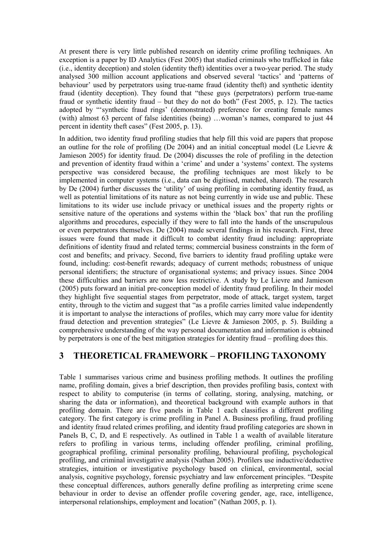At present there is very little published research on identity crime profiling techniques. An exception is a paper by ID Analytics (Fest 2005) that studied criminals who trafficked in fake (i.e., identity deception) and stolen (identity theft) identities over a two-year period. The study analysed 300 million account applications and observed several 'tactics' and 'patterns of behaviour' used by perpetrators using true-name fraud (identity theft) and synthetic identity fraud (identity deception). They found that "these guys (perpetrators) perform true-name fraud or synthetic identity fraud – but they do not do both" (Fest 2005, p. 12). The tactics adopted by "'synthetic fraud rings' (demonstrated) preference for creating female names (with) almost 63 percent of false identities (being) …woman's names, compared to just 44 percent in identity theft cases" (Fest 2005, p. 13).

In addition, two identity fraud profiling studies that help fill this void are papers that propose an outline for the role of profiling (De 2004) and an initial conceptual model (Le Lievre  $\&$ Jamieson 2005) for identity fraud. De (2004) discusses the role of profiling in the detection and prevention of identity fraud within a 'crime' and under a 'systems' context. The systems perspective was considered because, the profiling techniques are most likely to be implemented in computer systems (i.e., data can be digitised, matched, shared). The research by De (2004) further discusses the 'utility' of using profiling in combating identity fraud, as well as potential limitations of its nature as not being currently in wide use and public. These limitations to its wider use include privacy or unethical issues and the property rights or sensitive nature of the operations and systems within the 'black box' that run the profiling algorithms and procedures, especially if they were to fall into the hands of the unscrupulous or even perpetrators themselves. De (2004) made several findings in his research. First, three issues were found that made it difficult to combat identity fraud including: appropriate definitions of identity fraud and related terms; commercial business constraints in the form of cost and benefits; and privacy. Second, five barriers to identity fraud profiling uptake were found, including: cost-benefit rewards; adequacy of current methods; robustness of unique personal identifiers; the structure of organisational systems; and privacy issues. Since 2004 these difficulties and barriers are now less restrictive. A study by Le Lievre and Jamieson (2005) puts forward an initial pre-conception model of identity fraud profiling. In their model they highlight five sequential stages from perpetrator, mode of attack, target system, target entity, through to the victim and suggest that "as a profile carries limited value independently it is important to analyse the interactions of profiles, which may carry more value for identity fraud detection and prevention strategies" (Le Lievre & Jamieson 2005, p. 5). Building a comprehensive understanding of the way personal documentation and information is obtained by perpetrators is one of the best mitigation strategies for identity fraud – profiling does this.

## **3 THEORETICAL FRAMEWORK – PROFILING TAXONOMY**

Table 1 summarises various crime and business profiling methods. It outlines the profiling name, profiling domain, gives a brief description, then provides profiling basis, context with respect to ability to computerise (in terms of collating, storing, analysing, matching, or sharing the data or information), and theoretical background with example authors in that profiling domain. There are five panels in Table 1 each classifies a different profiling category. The first category is crime profiling in Panel A. Business profiling, fraud profiling and identity fraud related crimes profiling, and identity fraud profiling categories are shown in Panels B, C, D, and E respectively. As outlined in Table 1 a wealth of available literature refers to profiling in various terms, including offender profiling, criminal profiling, geographical profiling, criminal personality profiling, behavioural profiling, psychological profiling, and criminal investigative analysis (Nathan 2005). Profilers use inductive/deductive strategies, intuition or investigative psychology based on clinical, environmental, social analysis, cognitive psychology, forensic psychiatry and law enforcement principles. "Despite these conceptual differences, authors generally define profiling as interpreting crime scene behaviour in order to devise an offender profile covering gender, age, race, intelligence, interpersonal relationships, employment and location" (Nathan 2005, p. 1).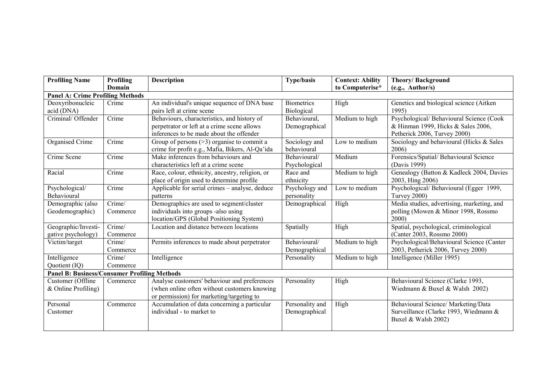| <b>Profiling Name</b>                               | Profiling | <b>Description</b>                              | <b>Type/basis</b> | <b>Context: Ability</b> | Theory/Background                          |  |  |  |  |
|-----------------------------------------------------|-----------|-------------------------------------------------|-------------------|-------------------------|--------------------------------------------|--|--|--|--|
|                                                     | Domain    |                                                 |                   | to Computerise*         | (e.g., Author/s)                           |  |  |  |  |
| <b>Panel A: Crime Profiling Methods</b>             |           |                                                 |                   |                         |                                            |  |  |  |  |
| Deoxyribonucleic                                    | Crime     | An individual's unique sequence of DNA base     | <b>Biometrics</b> | High                    | Genetics and biological science (Aitken    |  |  |  |  |
| acid (DNA)                                          |           | pairs left at crime scene                       | Biological        |                         | 1995)                                      |  |  |  |  |
| Criminal/ Offender                                  | Crime     | Behaviours, characteristics, and history of     | Behavioural,      | Medium to high          | Psychological/Behavioural Science (Cook    |  |  |  |  |
|                                                     |           | perpetrator or left at a crime scene allows     | Demographical     |                         | & Hinman 1999, Hicks & Sales 2006,         |  |  |  |  |
|                                                     |           | inferences to be made about the offender        |                   |                         | Petherick 2006, Turvey 2000)               |  |  |  |  |
| Organised Crime                                     | Crime     | Group of persons $(>3)$ organise to commit a    | Sociology and     | Low to medium           | Sociology and behavioural (Hicks & Sales   |  |  |  |  |
|                                                     |           | crime for profit e.g., Mafia, Bikers, Al-Qa'ida | behavioural       |                         | 2006)                                      |  |  |  |  |
| Crime Scene                                         | Crime     | Make inferences from behaviours and             | Behavioural/      | Medium                  | Forensics/Spatial/ Behavioural Science     |  |  |  |  |
|                                                     |           | characteristics left at a crime scene           | Psychological     |                         | (Davis 1999)                               |  |  |  |  |
| Racial                                              | Crime     | Race, colour, ethnicity, ancestry, religion, or | Race and          | Medium to high          | Genealogy (Batton & Kadleck 2004, Davies   |  |  |  |  |
|                                                     |           | place of origin used to determine profile       | ethnicity         |                         | 2003, Hing 2006)                           |  |  |  |  |
| Psychological/                                      | Crime     | Applicable for serial crimes – analyse, deduce  | Psychology and    | Low to medium           | Psychological/Behavioural (Egger 1999,     |  |  |  |  |
| Behavioural                                         |           | patterns                                        | personality       |                         | Turvey 2000)                               |  |  |  |  |
| Demographic (also                                   | Crime/    | Demographics are used to segment/cluster        | Demographical     | High                    | Media studies, advertising, marketing, and |  |  |  |  |
| Geodemographic)                                     | Commerce  | individuals into groups -also using             |                   |                         | polling (Mowen & Minor 1998, Rossmo        |  |  |  |  |
|                                                     |           | location/GPS (Global Positioning System)        |                   |                         | 2000                                       |  |  |  |  |
| Geographic/Investi-                                 | Crime/    | Location and distance between locations         | Spatially         | High                    | Spatial, psychological, criminological     |  |  |  |  |
| gative psychology)                                  | Commerce  |                                                 |                   |                         | (Canter 2003, Rossmo 2000)                 |  |  |  |  |
| Victim/target                                       | Crime/    | Permits inferences to made about perpetrator    | Behavioural/      | Medium to high          | Psychological/Behavioural Science (Canter  |  |  |  |  |
|                                                     | Commerce  |                                                 | Demographical     |                         | 2003, Petherick 2006, Turvey 2000)         |  |  |  |  |
| Intelligence                                        | Crime/    | Intelligence                                    | Personality       | Medium to high          | Intelligence (Miller 1995)                 |  |  |  |  |
| Quotient (IQ)                                       | Commerce  |                                                 |                   |                         |                                            |  |  |  |  |
| <b>Panel B: Business/Consumer Profiling Methods</b> |           |                                                 |                   |                         |                                            |  |  |  |  |
| Customer (Offline                                   | Commerce  | Analyse customers' behaviour and preferences    | Personality       | High                    | Behavioural Science (Clarke 1993,          |  |  |  |  |
| $&$ Online Profiling)                               |           | (when online often without customers knowing)   |                   |                         | Wiedmann & Buxel & Walsh 2002)             |  |  |  |  |
|                                                     |           | or permission) for marketing/targeting to       |                   |                         |                                            |  |  |  |  |
| Personal                                            | Commerce  | Accumulation of data concerning a particular    | Personality and   | High                    | Behavioural Science/ Marketing/Data        |  |  |  |  |
| Customer                                            |           | individual - to market to                       | Demographical     |                         | Surveillance (Clarke 1993, Wiedmann &      |  |  |  |  |
|                                                     |           |                                                 |                   |                         | Buxel & Walsh 2002)                        |  |  |  |  |
|                                                     |           |                                                 |                   |                         |                                            |  |  |  |  |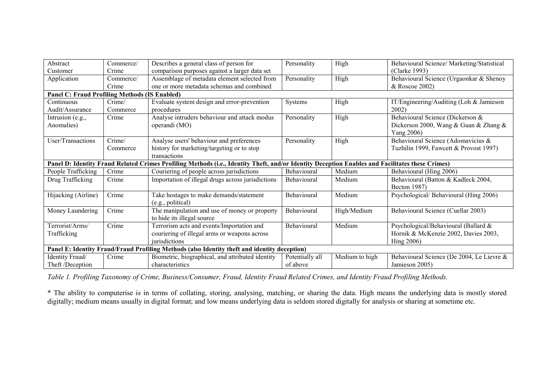| Abstract                                                                                                                                        | Commerce/ | Describes a general class of person for           | Personality     | High           | Behavioural Science/ Marketing/Statistical |  |  |  |  |
|-------------------------------------------------------------------------------------------------------------------------------------------------|-----------|---------------------------------------------------|-----------------|----------------|--------------------------------------------|--|--|--|--|
| Customer                                                                                                                                        | Crime     | comparison purposes against a larger data set     |                 |                | (Clarke 1993)                              |  |  |  |  |
| Application                                                                                                                                     | Commerce/ | Assemblage of metadata element selected from      | Personality     | High           | Behavioural Science (Urgaonkar & Shenoy    |  |  |  |  |
|                                                                                                                                                 | Crime     | one or more metadata schemas and combined         |                 |                | & Roscoe 2002)                             |  |  |  |  |
| <b>Panel C: Fraud Profiling Methods (IS Enabled)</b>                                                                                            |           |                                                   |                 |                |                                            |  |  |  |  |
| Continuous                                                                                                                                      | Crime/    | Evaluate system design and error-prevention       | Systems         | High           | IT/Engineering/Auditing (Loh & Jamieson    |  |  |  |  |
| Audit/Assurance                                                                                                                                 | Commerce  | procedures                                        |                 |                | 2002                                       |  |  |  |  |
| Intrusion (e.g.,                                                                                                                                | Crime     | Analyse intruders behaviour and attack modus      | Personality     | High           | Behavioural Science (Dickerson &           |  |  |  |  |
| Anomalies)                                                                                                                                      |           | operandi (MO)                                     |                 |                | Dickerson 2000, Wang & Guan & Zhang &      |  |  |  |  |
|                                                                                                                                                 |           |                                                   |                 |                | Yang 2006)                                 |  |  |  |  |
| User/Transactions                                                                                                                               | Crime/    | Analyse users' behaviour and preferences          | Personality     | High           | Behavioural Science (Adomavicius &         |  |  |  |  |
|                                                                                                                                                 | Commerce  | history for marketing/targeting or to stop        |                 |                | Tuzhilin 1999, Fawcett & Provost 1997)     |  |  |  |  |
|                                                                                                                                                 |           | transactions                                      |                 |                |                                            |  |  |  |  |
| Panel D: Identity Fraud Related Crimes Profiling Methods (i.e., Identity Theft, and/or Identity Deception Enables and Facilitates these Crimes) |           |                                                   |                 |                |                                            |  |  |  |  |
| People Trafficking                                                                                                                              | Crime     | Couriering of people across jurisdictions         | Behavioural     | Medium         | Behavioural (Hing 2006)                    |  |  |  |  |
| Drug Trafficking                                                                                                                                | Crime     | Importation of illegal drugs across jurisdictions | Behavioural     | Medium         | Behavioural (Batton & Kadleck 2004,        |  |  |  |  |
|                                                                                                                                                 |           |                                                   |                 |                | Becton 1987)                               |  |  |  |  |
| Hijacking (Airline)                                                                                                                             | Crime     | Take hostages to make demands/statement           | Behavioural     | Medium         | Psychological/ Behavioural (Hing 2006)     |  |  |  |  |
|                                                                                                                                                 |           | (e.g., political)                                 |                 |                |                                            |  |  |  |  |
| Money Laundering                                                                                                                                | Crime     | The manipulation and use of money or property     | Behavioural     | High/Medium    | Behavioural Science (Cuellar 2003)         |  |  |  |  |
|                                                                                                                                                 |           | to hide its illegal source                        |                 |                |                                            |  |  |  |  |
| Terrorist/Arms/                                                                                                                                 | Crime     | Terrorism acts and events/Importation and         | Behavioural     | Medium         | Psychological/Behavioural (Ballard &       |  |  |  |  |
| Trafficking                                                                                                                                     |           | couriering of illegal arms or weapons across      |                 |                | Hornik & McKenzie 2002, Davies 2003,       |  |  |  |  |
|                                                                                                                                                 |           | <i>iurisdictions</i>                              |                 |                | Hing 2006)                                 |  |  |  |  |
| Panel E: Identity Fraud/Fraud Profiling Methods (also Identity theft and identity deception)                                                    |           |                                                   |                 |                |                                            |  |  |  |  |
| Identity Fraud/                                                                                                                                 | Crime     | Biometric, biographical, and attributed identity  | Potentially all | Medium to high | Behavioural Science (De 2004, Le Lievre &  |  |  |  |  |
| Theft /Deception                                                                                                                                |           | characteristics                                   | of above        |                | Jamieson 2005)                             |  |  |  |  |

Table 1. Profiling Taxonomy of Crime, Business/Consumer, Fraud, Identity Fraud Related Crimes, and Identity Fraud Profiling Methods.

\* The ability to computerise is in terms of collating, storing, analysing, matching, or sharing the data. High means the underlying data is mostly stored digitally; medium means usually in digital format; and low means underlying data is seldom stored digitally for analysis or sharing at sometime etc.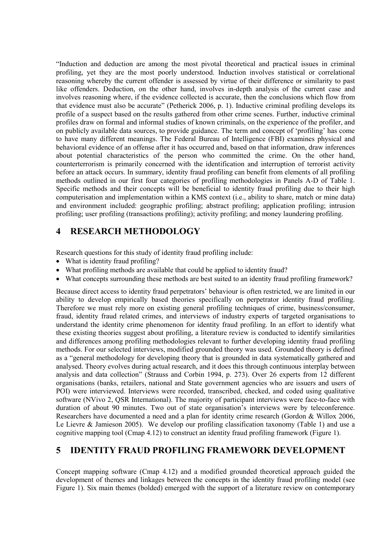"Induction and deduction are among the most pivotal theoretical and practical issues in criminal profiling, yet they are the most poorly understood. Induction involves statistical or correlational reasoning whereby the current offender is assessed by virtue of their difference or similarity to past like offenders. Deduction, on the other hand, involves in-depth analysis of the current case and involves reasoning where, if the evidence collected is accurate, then the conclusions which flow from that evidence must also be accurate" (Petherick 2006, p. 1). Inductive criminal profiling develops its profile of a suspect based on the results gathered from other crime scenes. Further, inductive criminal profiles draw on formal and informal studies of known criminals, on the experience of the profiler, and on publicly available data sources, to provide guidance. The term and concept of 'profiling' has come to have many different meanings. The Federal Bureau of Intelligence (FBI) examines physical and behavioral evidence of an offense after it has occurred and, based on that information, draw inferences about potential characteristics of the person who committed the crime. On the other hand, counterterrorism is primarily concerned with the identification and interruption of terrorist activity before an attack occurs. In summary, identity fraud profiling can benefit from elements of all profiling methods outlined in our first four categories of profiling methodologies in Panels A-D of Table 1. Specific methods and their concepts will be beneficial to identity fraud profiling due to their high computerisation and implementation within a KMS context (i.e., ability to share, match or mine data) and environment included: geographic profiling; abstract profiling; application profiling; intrusion profiling; user profiling (transactions profiling); activity profiling; and money laundering profiling.

## **4 RESEARCH METHODOLOGY**

Research questions for this study of identity fraud profiling include:

- What is identity fraud profiling?
- What profiling methods are available that could be applied to identity fraud?
- What concepts surrounding these methods are best suited to an identity fraud profiling framework?

Because direct access to identity fraud perpetrators' behaviour is often restricted, we are limited in our ability to develop empirically based theories specifically on perpetrator identity fraud profiling. Therefore we must rely more on existing general profiling techniques of crime, business/consumer, fraud, identity fraud related crimes, and interviews of industry experts of targeted organisations to understand the identity crime phenomenon for identity fraud profiling. In an effort to identify what these existing theories suggest about profiling, a literature review is conducted to identify similarities and differences among profiling methodologies relevant to further developing identity fraud profiling methods. For our selected interviews, modified grounded theory was used. Grounded theory is defined as a "general methodology for developing theory that is grounded in data systematically gathered and analysed. Theory evolves during actual research, and it does this through continuous interplay between analysis and data collection" (Strauss and Corbin 1994, p. 273). Over 26 experts from 12 different organisations (banks, retailers, national and State government agencies who are issuers and users of POI) were interviewed. Interviews were recorded, transcribed, checked, and coded using qualitative software (NVivo 2, QSR International). The majority of participant interviews were face-to-face with duration of about 90 minutes. Two out of state organisation's interviews were by teleconference. Researchers have documented a need and a plan for identity crime research (Gordon & Willox 2006, Le Lievre & Jamieson 2005). We develop our profiling classification taxonomy (Table 1) and use a cognitive mapping tool (Cmap 4.12) to construct an identity fraud profiling framework (Figure 1).

## **5 IDENTITY FRAUD PROFILING FRAMEWORK DEVELOPMENT**

Concept mapping software (Cmap 4.12) and a modified grounded theoretical approach guided the development of themes and linkages between the concepts in the identity fraud profiling model (see Figure 1). Six main themes (bolded) emerged with the support of a literature review on contemporary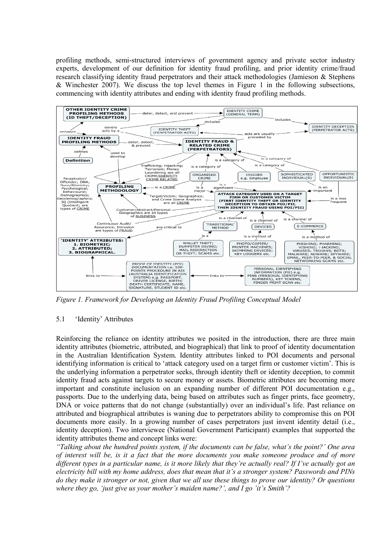profiling methods, semi-structured interviews of government agency and private sector industry experts, development of our definition for identity fraud profiling, and prior identity crime/fraud research classifying identity fraud perpetrators and their attack methodologies (Jamieson & Stephens  $\&$  Winchester 2007). We discuss the top level themes in Figure 1 in the following subsections, commencing with identity attributes and ending with identity fraud profiling methods.



*Figure 1. Framework for Developing an Identity Fraud Profiling Conceptual Model* 

#### 5.1 'Identity' Attributes

Reinforcing the reliance on identity attributes we posited in the introduction, there are three main identity attributes (biometric, attributed, and biographical) that link to proof of identity documentation in the Australian Identification System. Identity attributes linked to POI documents and personal identifying information is critical to 'attack category used on a target firm or customer victim'. This is the underlying information a perpetrator seeks, through identity theft or identity deception, to commit identity fraud acts against targets to secure money or assets. Biometric attributes are becoming more important and constitute inclusion on an expanding number of different POI documentation e.g., passports. Due to the underlying data, being based on attributes such as finger prints, face geometry, DNA or voice patterns that do not change (substantially) over an individual's life. Past reliance on attributed and biographical attributes is waning due to perpetrators ability to compromise this on POI documents more easily. In a growing number of cases perpetrators just invent identity detail (i.e., identity deception). Two interviewee (National Government Participant) examples that supported the identity attributes theme and concept links were:

*"Talking about the hundred points system, if the documents can be false, what's the point?' One area of interest will be, is it a fact that the more documents you make someone produce and of more different types in a particular name, is it more likely that they're actually real? If I've actually got an electricity bill with my home address, does that mean that it's a stronger system? Passwords and PINs do they make it stronger or not, given that we all use these things to prove our identity? Or questions where they go, 'just give us your mother's maiden name?', and I go 'it's Smith'?*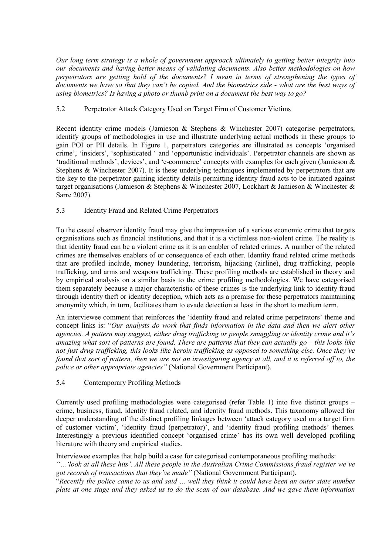*Our long term strategy is a whole of government approach ultimately to getting better integrity into our documents and having better means of validating documents. Also better methodologies on how perpetrators are getting hold of the documents? I mean in terms of strengthening the types of documents we have so that they can't be copied. And the biometrics side - what are the best ways of using biometrics? Is having a photo or thumb print on a document the best way to go?* 

#### 5.2 Perpetrator Attack Category Used on Target Firm of Customer Victims

Recent identity crime models (Jamieson & Stephens & Winchester 2007) categorise perpetrators, identify groups of methodologies in use and illustrate underlying actual methods in these groups to gain POI or PII details. In Figure 1, perpetrators categories are illustrated as concepts 'organised crime', 'insiders', 'sophisticated ' and 'opportunistic individuals'. Perpetrator channels are shown as 'traditional methods', devices', and 'e-commerce' concepts with examples for each given (Jamieson & Stephens & Winchester 2007). It is these underlying techniques implemented by perpetrators that are the key to the perpetrator gaining identity details permitting identity fraud acts to be initiated against target organisations (Jamieson & Stephens & Winchester 2007, Lockhart & Jamieson & Winchester & Sarre 2007).

#### 5.3 Identity Fraud and Related Crime Perpetrators

To the casual observer identity fraud may give the impression of a serious economic crime that targets organisations such as financial institutions, and that it is a victimless non-violent crime. The reality is that identity fraud can be a violent crime as it is an enabler of related crimes. A number of the related crimes are themselves enablers of or consequence of each other. Identity fraud related crime methods that are profiled include, money laundering, terrorism, hijacking (airline), drug trafficking, people trafficking, and arms and weapons trafficking. These profiling methods are established in theory and by empirical analysis on a similar basis to the crime profiling methodologies. We have categorised them separately because a major characteristic of these crimes is the underlying link to identity fraud through identity theft or identity deception, which acts as a premise for these perpetrators maintaining anonymity which, in turn, facilitates them to evade detection at least in the short to medium term.

An interviewee comment that reinforces the 'identity fraud and related crime perpetrators' theme and concept links is: "*Our analysts do work that finds information in the data and then we alert other agencies. A pattern may suggest, either drug trafficking or people smuggling or identity crime and it's amazing what sort of patterns are found. There are patterns that they can actually go – this looks like not just drug trafficking, this looks like heroin trafficking as opposed to something else. Once they've found that sort of pattern, then we are not an investigating agency at all, and it is referred off to, the police or other appropriate agencies"* (National Government Participant).

#### 5.4 Contemporary Profiling Methods

Currently used profiling methodologies were categorised (refer Table 1) into five distinct groups – crime, business, fraud, identity fraud related, and identity fraud methods. This taxonomy allowed for deeper understanding of the distinct profiling linkages between 'attack category used on a target firm of customer victim', 'identity fraud (perpetrator)', and 'identity fraud profiling methods' themes. Interestingly a previous identified concept 'organised crime' has its own well developed profiling literature with theory and empirical studies.

Interviewee examples that help build a case for categorised contemporaneous profiling methods:

*"…'look at all these hits'. All these people in the Australian Crime Commissions fraud register we've got records of transactions that they've made"* (National Government Participant).

"*Recently the police came to us and said … well they think it could have been an outer state number plate at one stage and they asked us to do the scan of our database. And we gave them information*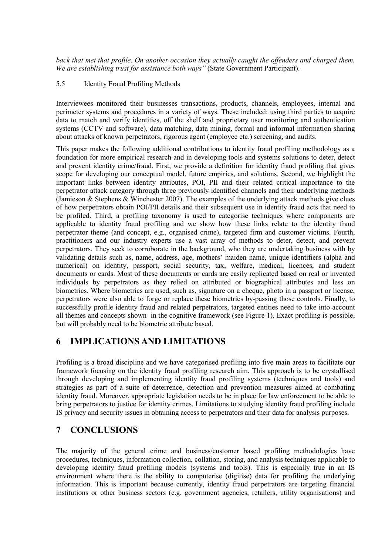*back that met that profile. On another occasion they actually caught the offenders and charged them. We are establishing trust for assistance both ways"* (State Government Participant).

#### 5.5 Identity Fraud Profiling Methods

Interviewees monitored their businesses transactions, products, channels, employees, internal and perimeter systems and procedures in a variety of ways. These included: using third parties to acquire data to match and verify identities, off the shelf and proprietary user monitoring and authentication systems (CCTV and software), data matching, data mining, formal and informal information sharing about attacks of known perpetrators, rigorous agent (employee etc.) screening, and audits.

This paper makes the following additional contributions to identity fraud profiling methodology as a foundation for more empirical research and in developing tools and systems solutions to deter, detect and prevent identity crime/fraud. First, we provide a definition for identity fraud profiling that gives scope for developing our conceptual model, future empirics, and solutions. Second, we highlight the important links between identity attributes, POI, PII and their related critical importance to the perpetrator attack category through three previously identified channels and their underlying methods (Jamieson & Stephens & Winchester 2007). The examples of the underlying attack methods give clues of how perpetrators obtain POI/PII details and their subsequent use in identity fraud acts that need to be profiled. Third, a profiling taxonomy is used to categorise techniques where components are applicable to identity fraud profiling and we show how these links relate to the identity fraud perpetrator theme (and concept, e.g., organised crime), targeted firm and customer victims. Fourth, practitioners and our industry experts use a vast array of methods to deter, detect, and prevent perpetrators. They seek to corroborate in the background, who they are undertaking business with by validating details such as, name, address, age, mothers' maiden name, unique identifiers (alpha and numerical) on identity, passport, social security, tax, welfare, medical, licences, and student documents or cards. Most of these documents or cards are easily replicated based on real or invented individuals by perpetrators as they relied on attributed or biographical attributes and less on biometrics. Where biometrics are used, such as, signature on a cheque, photo in a passport or license, perpetrators were also able to forge or replace these biometrics by-passing those controls. Finally, to successfully profile identity fraud and related perpetrators, targeted entities need to take into account all themes and concepts shown in the cognitive framework (see Figure 1). Exact profiling is possible, but will probably need to be biometric attribute based.

## **6 IMPLICATIONS AND LIMITATIONS**

Profiling is a broad discipline and we have categorised profiling into five main areas to facilitate our framework focusing on the identity fraud profiling research aim. This approach is to be crystallised through developing and implementing identity fraud profiling systems (techniques and tools) and strategies as part of a suite of deterrence, detection and prevention measures aimed at combating identity fraud. Moreover, appropriate legislation needs to be in place for law enforcement to be able to bring perpetrators to justice for identity crimes. Limitations to studying identity fraud profiling include IS privacy and security issues in obtaining access to perpetrators and their data for analysis purposes.

## **7 CONCLUSIONS**

The majority of the general crime and business/customer based profiling methodologies have procedures, techniques, information collection, collation, storing, and analysis techniques applicable to developing identity fraud profiling models (systems and tools). This is especially true in an IS environment where there is the ability to computerise (digitise) data for profiling the underlying information. This is important because currently, identity fraud perpetrators are targeting financial institutions or other business sectors (e.g. government agencies, retailers, utility organisations) and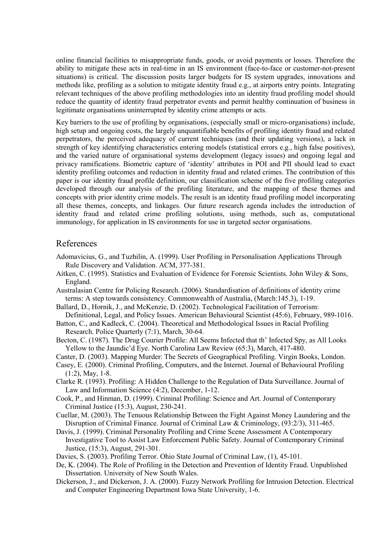online financial facilities to misappropriate funds, goods, or avoid payments or losses. Therefore the ability to mitigate these acts in real-time in an IS environment (face-to-face or customer-not-present situations) is critical. The discussion posits larger budgets for IS system upgrades, innovations and methods like, profiling as a solution to mitigate identity fraud e.g., at airports entry points. Integrating relevant techniques of the above profiling methodologies into an identity fraud profiling model should reduce the quantity of identity fraud perpetrator events and permit healthy continuation of business in legitimate organisations uninterrupted by identity crime attempts or acts.

Key barriers to the use of profiling by organisations, (especially small or micro-organisations) include, high setup and ongoing costs, the largely unquantifiable benefits of profiling identity fraud and related perpetrators, the perceived adequacy of current techniques (and their updating versions), a lack in strength of key identifying characteristics entering models (statistical errors e.g., high false positives), and the varied nature of organisational systems development (legacy issues) and ongoing legal and privacy ramifications. Biometric capture of 'identity' attributes in POI and PII should lead to exact identity profiling outcomes and reduction in identity fraud and related crimes. The contribution of this paper is our identity fraud profile definition, our classification scheme of the five profiling categories developed through our analysis of the profiling literature, and the mapping of these themes and concepts with prior identity crime models. The result is an identity fraud profiling model incorporating all these themes, concepts, and linkages. Our future research agenda includes the introduction of identity fraud and related crime profiling solutions, using methods, such as, computational immunology, for application in IS environments for use in targeted sector organisations.

### References

- Adomavicius, G., and Tuzhilin, A. (1999). User Profiling in Personalisation Applications Through Rule Discovery and Validation. ACM, 377-381.
- Aitken, C. (1995). Statistics and Evaluation of Evidence for Forensic Scientists. John Wiley & Sons, England.
- Australasian Centre for Policing Research. (2006). Standardisation of definitions of identity crime terms: A step towards consistency. Commonwealth of Australia, (March:145.3), 1-19.
- Ballard, D., Hornik, J., and McKenzie, D. (2002). Technological Facilitation of Terrorism: Definitional, Legal, and Policy Issues. American Behavioural Scientist (45:6), February, 989-1016.
- Batton, C., and Kadleck, C. (2004). Theoretical and Methodological Issues in Racial Profiling Research. Police Quarterly (7:1), March, 30-64.
- Becton, C. (1987). The Drug Courier Profile: All Seems Infected that th' Infected Spy, as All Looks Yellow to the Jaundic'd Eye. North Carolina Law Review (65:3), March, 417-480.
- Canter, D. (2003). Mapping Murder: The Secrets of Geographical Profiling. Virgin Books, London.
- Casey, E. (2000). Criminal Profiling, Computers, and the Internet. Journal of Behavioural Profiling (1:2), May, 1-8.
- Clarke R. (1993). Profiling: A Hidden Challenge to the Regulation of Data Surveillance. Journal of Law and Information Science (4:2), December, 1-12.
- Cook, P., and Hinman, D. (1999). Criminal Profiling: Science and Art. Journal of Contemporary Criminal Justice (15:3), August, 230-241.
- Cuellar, M. (2003). The Tenuous Relationship Between the Fight Against Money Laundering and the Disruption of Criminal Finance. Journal of Criminal Law & Criminology, (93:2/3), 311-465.
- Davis, J. (1999). Criminal Personality Profiling and Crime Scene Assessment A Contemporary Investigative Tool to Assist Law Enforcement Public Safety. Journal of Contemporary Criminal Justice, (15:3), August, 291-301.
- Davies, S. (2003). Profiling Terror. Ohio State Journal of Criminal Law, (1), 45-101.
- De, K. (2004). The Role of Profiling in the Detection and Prevention of Identity Fraud. Unpublished Dissertation. University of New South Wales.
- Dickerson, J., and Dickerson, J. A. (2000). Fuzzy Network Profiling for Intrusion Detection. Electrical and Computer Engineering Department Iowa State University, 1-6.